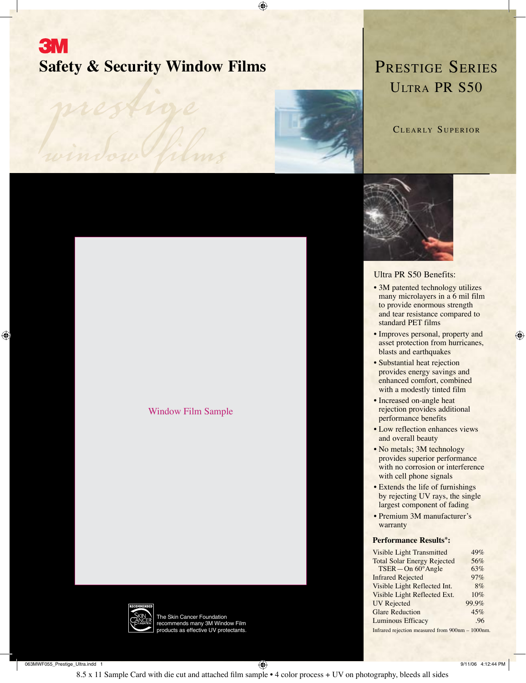# **3M Safety & Security Window Films**

⊕

*prestige*

 $\bigoplus$ 





### Ultra PR S50 Benefits:

- 3M patented technology utilizes many microlayers in a 6 mil film to provide enormous strength and tear resistance compared to standard PET films
- Improves personal, property and asset protection from hurricanes, blasts and earthquakes

⊕

- Substantial heat rejection provides energy savings and enhanced comfort, combined with a modestly tinted film
- Increased on-angle heat rejection provides additional performance benefits
- Low reflection enhances views and overall beauty
- No metals; 3M technology provides superior performance with no corrosion or interference with cell phone signals
- Extends the life of furnishings by rejecting UV rays, the single largest component of fading
- Premium 3M manufacturer's warranty

#### **Performance Results\*:**

| Visible Light Transmitted                        | 49%   |  |  |  |
|--------------------------------------------------|-------|--|--|--|
| <b>Total Solar Energy Rejected</b>               | 56%   |  |  |  |
| TSER-On 60°Angle                                 | 63%   |  |  |  |
| <b>Infrared Rejected</b>                         | 97%   |  |  |  |
| Visible Light Reflected Int.                     | 8%    |  |  |  |
| Visible Light Reflected Ext.                     | 10%   |  |  |  |
| <b>UV</b> Rejected                               | 99.9% |  |  |  |
| <b>Glare Reduction</b>                           | 45%   |  |  |  |
| <b>Luminous Efficacy</b>                         | .96   |  |  |  |
| Infrared rejection measured from 900nm - 1000nm. |       |  |  |  |



The Skin Cancer Foundation recommends many 3M Window Film roducts as effective UV protectants.

Window Film Sample

063MWF055\_Prestige\_Ultra.indd 1 9/11/06 4:12:44 PM

8.5 x 11 Sample Card with die cut and attached film sample • 4 color process + UV on photography, bleeds all sides